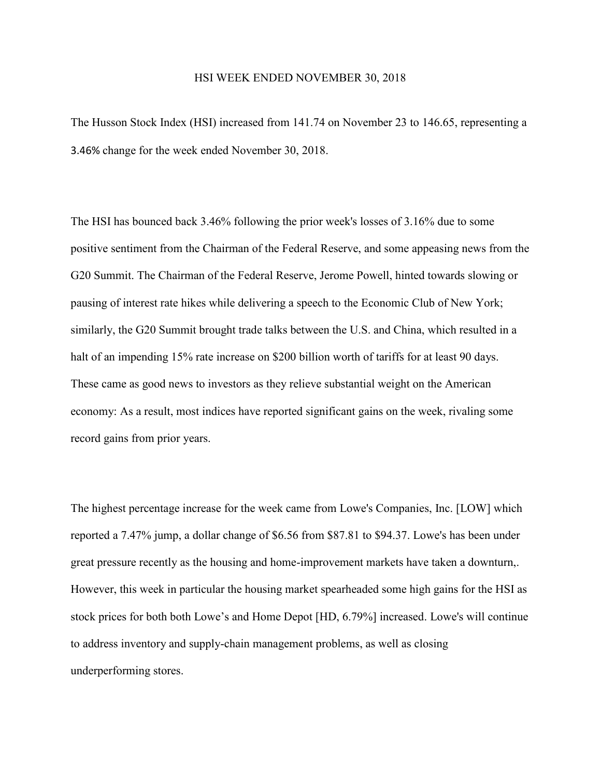## HSI WEEK ENDED NOVEMBER 30, 2018

The Husson Stock Index (HSI) increased from 141.74 on November 23 to 146.65, representing a 3.46% change for the week ended November 30, 2018.

The HSI has bounced back 3.46% following the prior week's losses of 3.16% due to some positive sentiment from the Chairman of the Federal Reserve, and some appeasing news from the G20 Summit. The Chairman of the Federal Reserve, Jerome Powell, hinted towards slowing or pausing of interest rate hikes while delivering a speech to the Economic Club of New York; similarly, the G20 Summit brought trade talks between the U.S. and China, which resulted in a halt of an impending 15% rate increase on \$200 billion worth of tariffs for at least 90 days. These came as good news to investors as they relieve substantial weight on the American economy: As a result, most indices have reported significant gains on the week, rivaling some record gains from prior years.

The highest percentage increase for the week came from Lowe's Companies, Inc. [LOW] which reported a 7.47% jump, a dollar change of \$6.56 from \$87.81 to \$94.37. Lowe's has been under great pressure recently as the housing and home-improvement markets have taken a downturn,. However, this week in particular the housing market spearheaded some high gains for the HSI as stock prices for both both Lowe's and Home Depot [HD, 6.79%] increased. Lowe's will continue to address inventory and supply-chain management problems, as well as closing underperforming stores.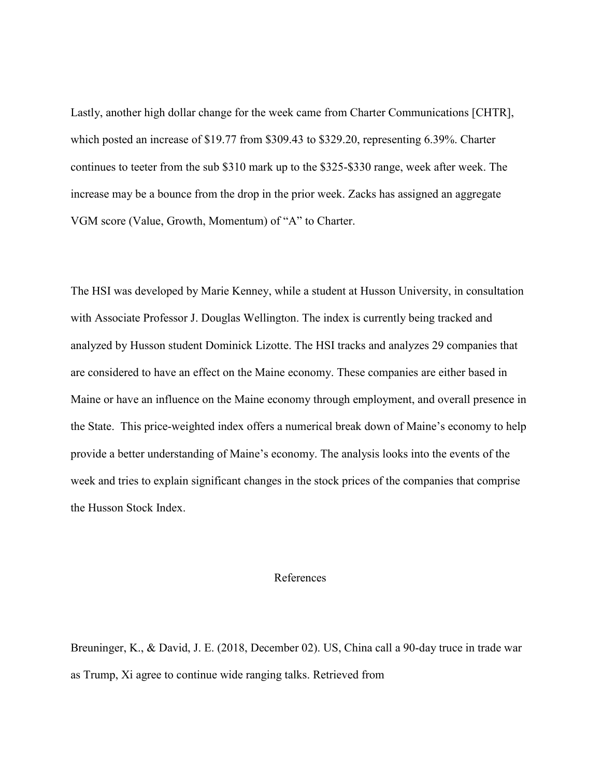Lastly, another high dollar change for the week came from Charter Communications [CHTR], which posted an increase of \$19.77 from \$309.43 to \$329.20, representing 6.39%. Charter continues to teeter from the sub \$310 mark up to the \$325-\$330 range, week after week. The increase may be a bounce from the drop in the prior week. Zacks has assigned an aggregate VGM score (Value, Growth, Momentum) of "A" to Charter.

The HSI was developed by Marie Kenney, while a student at Husson University, in consultation with Associate Professor J. Douglas Wellington. The index is currently being tracked and analyzed by Husson student Dominick Lizotte. The HSI tracks and analyzes 29 companies that are considered to have an effect on the Maine economy. These companies are either based in Maine or have an influence on the Maine economy through employment, and overall presence in the State. This price-weighted index offers a numerical break down of Maine's economy to help provide a better understanding of Maine's economy. The analysis looks into the events of the week and tries to explain significant changes in the stock prices of the companies that comprise the Husson Stock Index.

## References

Breuninger, K., & David, J. E. (2018, December 02). US, China call a 90-day truce in trade war as Trump, Xi agree to continue wide ranging talks. Retrieved from